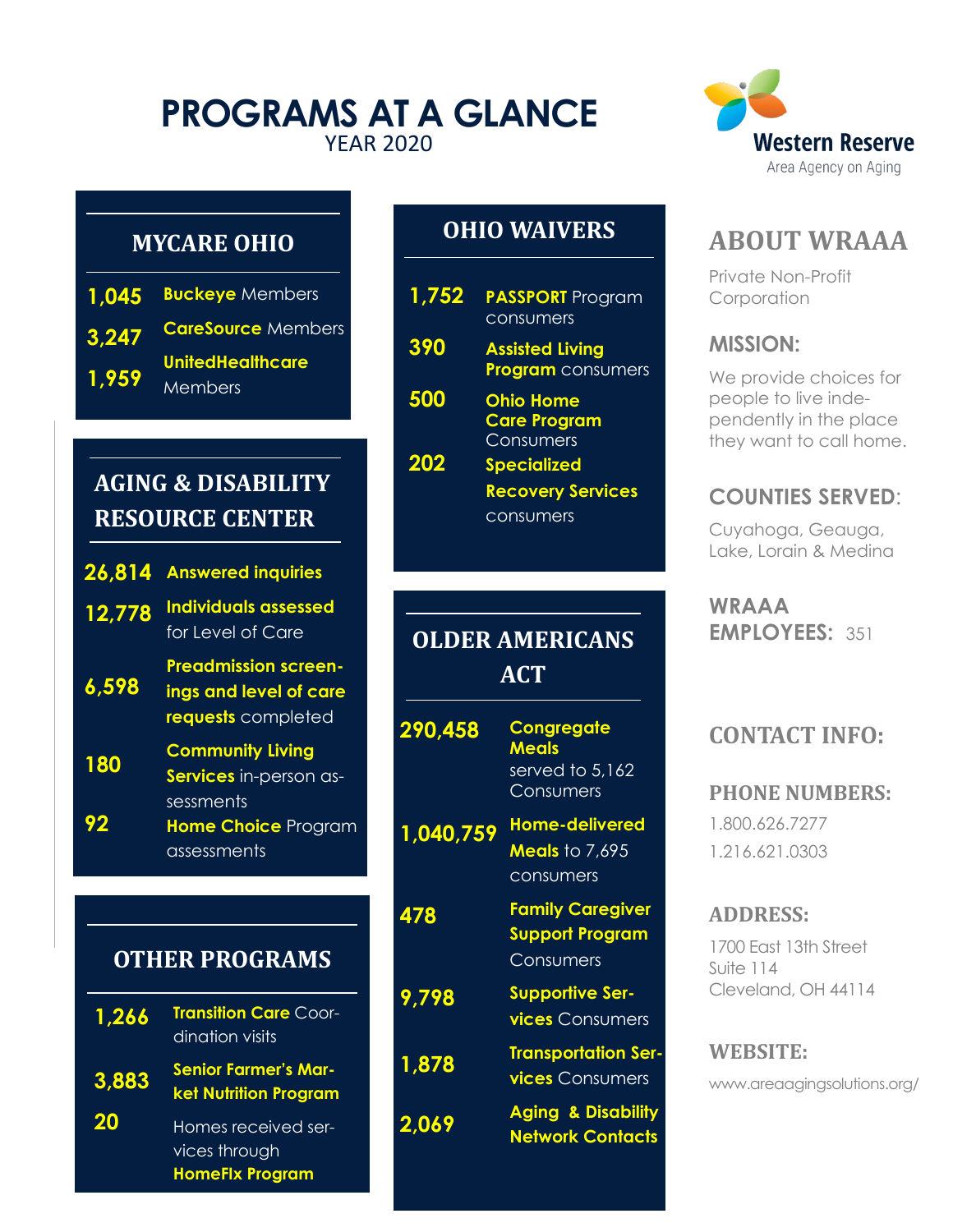# **PROGRAMS AT A GLANCE** YEAR 2020



## **MYCARE OHIO**

|       | 1.045 Buckeye Members              |
|-------|------------------------------------|
| 3.247 | <b>CareSource Members</b>          |
| 1,959 | <b>UnitedHealthcare</b><br>Members |

# **AGING & DISABILITY RESOURCE CENTER**

| 26,814 | <b>Answered inquiries</b>                                                   |
|--------|-----------------------------------------------------------------------------|
| 12,778 | <b>Individuals assessed</b><br>for Level of Care                            |
| 6,598  | <b>Preadmission screen-</b><br>ings and level of care<br>requests completed |
| 180    | <b>Community Living</b><br>Services in-person as-                           |
| 92     | sessments<br>Home Choice Program<br>assessments                             |

# **OTHER PROGRAMS**

| 1,266     | <b>Transition Care Coor-</b><br>dination visits             |
|-----------|-------------------------------------------------------------|
| 3.883     | <b>Senior Farmer's Mar-</b><br><b>ket Nutrition Program</b> |
| <b>20</b> | Homes received ser-<br>vices through                        |

**HomeFIx Program**

# **OHIO WAIVERS**

| 1,752 | <b>PASSPORT</b> Program<br>consumers                 |
|-------|------------------------------------------------------|
| 390   | <b>Assisted Living</b><br><b>Program</b> consumers   |
| 500   | <b>Ohio Home</b><br><b>Care Program</b><br>Consumers |
| 202   | <b>Specialized</b>                                   |

**Recovery Services**  consumers

# **OLDER AMERICANS ACT**

| 290,458   | <b>Congregate</b><br><b>Meals</b><br>served to 5,162<br>Consumers |
|-----------|-------------------------------------------------------------------|
| 1,040,759 | <b>Home-delivered</b><br><b>Meals</b> to 7,695<br>consumers       |
| 478       | <b>Family Caregiver</b><br><b>Support Program</b><br>Consumers    |
| 9,798     | <b>Supportive Ser-</b><br><b>vices</b> Consumers                  |
| 1,878     | <b>Transportation Ser-</b><br><b>vices</b> Consumers              |
| 2,069     | <b>Aging &amp; Disability</b><br><b>Network Contacts</b>          |

# **ABOUT WRAAA**

Private Non-Profit **Corporation** 

#### **MISSION:**

We provide choices for people to live independently in the place they want to call home.

## **COUNTIES SERVED**:

Cuyahoga, Geauga, Lake, Lorain & Medina

**WRAAA EMPLOYEES:** 351

# **CONTACT INFO:**

#### **PHONE NUMBERS:**

1.800.626.7277 1.216.621.0303

### **ADDRESS:**

1700 East 13th Street Suite 114 Cleveland, OH 44114

#### **WEBSITE:**

www.areaagingsolutions.org/